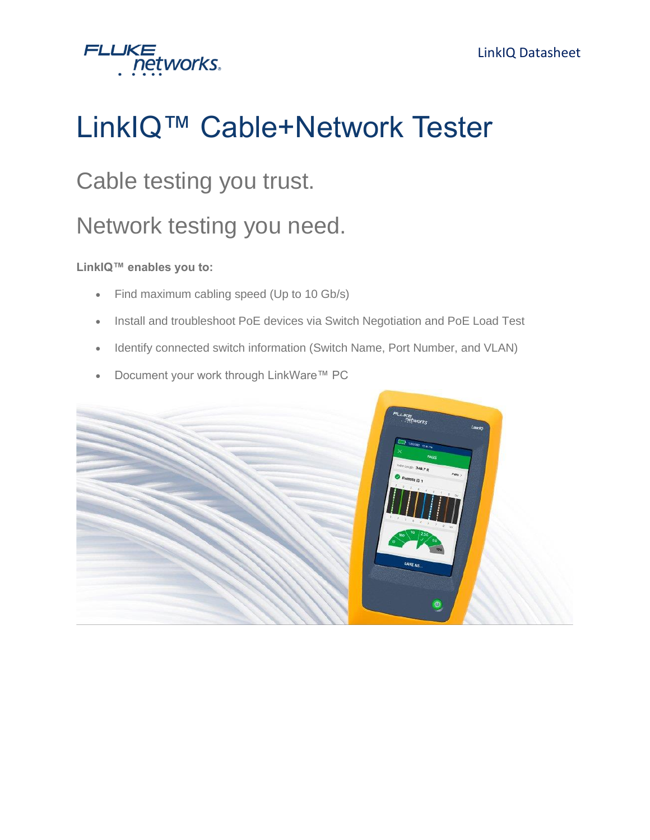

# LinkIQ™ Cable+Network Tester

#### Cable testing you trust.

### Network testing you need.

#### **LinkIQ™ enables you to:**

- Find maximum cabling speed (Up to 10 Gb/s)
- Install and troubleshoot PoE devices via Switch Negotiation and PoE Load Test
- Identify connected switch information (Switch Name, Port Number, and VLAN)
- Document your work through LinkWare™ PC

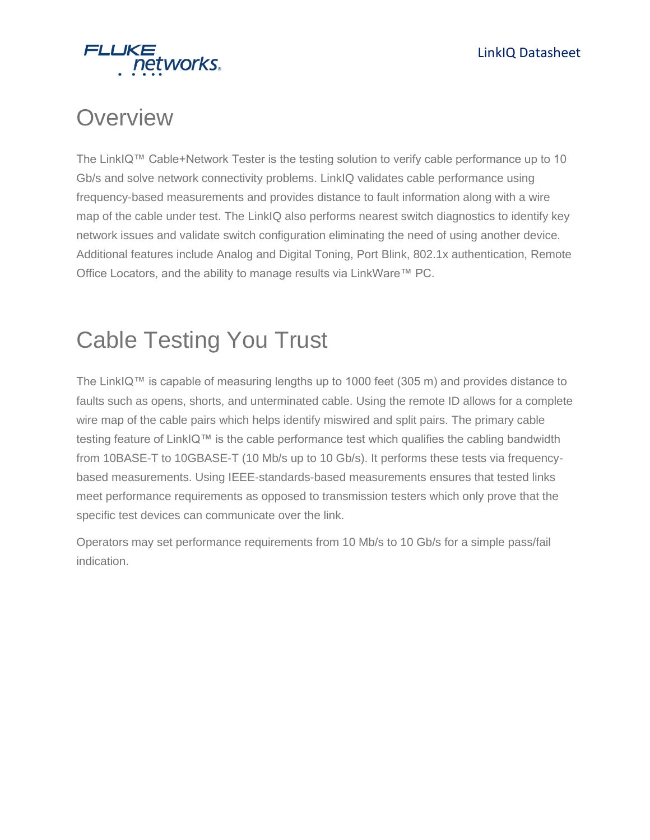

### **Overview**

The LinkIQ™ Cable+Network Tester is the testing solution to verify cable performance up to 10 Gb/s and solve network connectivity problems. LinkIQ validates cable performance using frequency-based measurements and provides distance to fault information along with a wire map of the cable under test. The LinkIQ also performs nearest switch diagnostics to identify key network issues and validate switch configuration eliminating the need of using another device. Additional features include Analog and Digital Toning, Port Blink, 802.1x authentication, Remote Office Locators, and the ability to manage results via LinkWare™ PC.

## Cable Testing You Trust

The LinkIQ™ is capable of measuring lengths up to 1000 feet (305 m) and provides distance to faults such as opens, shorts, and unterminated cable. Using the remote ID allows for a complete wire map of the cable pairs which helps identify miswired and split pairs. The primary cable testing feature of LinkIQ™ is the cable performance test which qualifies the cabling bandwidth from 10BASE-T to 10GBASE-T (10 Mb/s up to 10 Gb/s). It performs these tests via frequencybased measurements. Using IEEE-standards-based measurements ensures that tested links meet performance requirements as opposed to transmission testers which only prove that the specific test devices can communicate over the link.

Operators may set performance requirements from 10 Mb/s to 10 Gb/s for a simple pass/fail indication.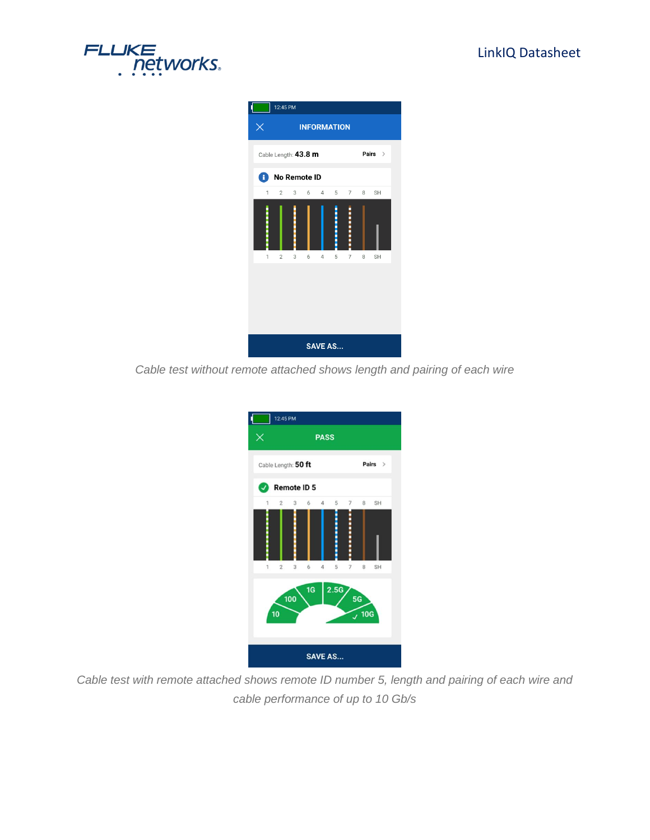



*Cable test without remote attached shows length and pairing of each wire*

|                | 12:45 PM            |     |    |                |                  |                |       |           |  |
|----------------|---------------------|-----|----|----------------|------------------|----------------|-------|-----------|--|
| ×              |                     |     |    | <b>PASS</b>    |                  |                |       |           |  |
|                | Cable Length: 50 ft |     |    |                |                  |                |       | Pairs $>$ |  |
|                | <b>Remote ID 5</b>  |     |    |                |                  |                |       |           |  |
| 1              | $\overline{2}$      | 3   | 6  | $\overline{4}$ | 5                | $\overline{7}$ | 8     | <b>SH</b> |  |
| 1              | $\overline{2}$      | 3   | 6  | $\overline{4}$ | 5                | 7              | 8     | <b>SH</b> |  |
|                | 10                  | 100 | 1G |                | 2.5 <sub>G</sub> | 5 <sub>G</sub> | , 10G |           |  |
| <b>SAVE AS</b> |                     |     |    |                |                  |                |       |           |  |

*Cable test with remote attached shows remote ID number 5, length and pairing of each wire and cable performance of up to 10 Gb/s*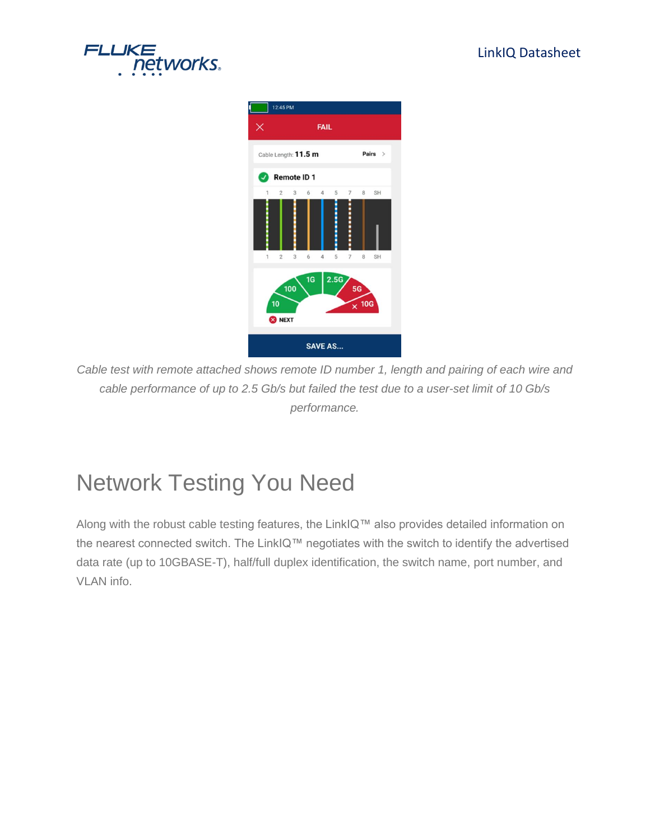





*Cable test with remote attached shows remote ID number 1, length and pairing of each wire and cable performance of up to 2.5 Gb/s but failed the test due to a user-set limit of 10 Gb/s performance.*

### Network Testing You Need

Along with the robust cable testing features, the LinkIQ™ also provides detailed information on the nearest connected switch. The LinkIQ™ negotiates with the switch to identify the advertised data rate (up to 10GBASE-T), half/full duplex identification, the switch name, port number, and VLAN info.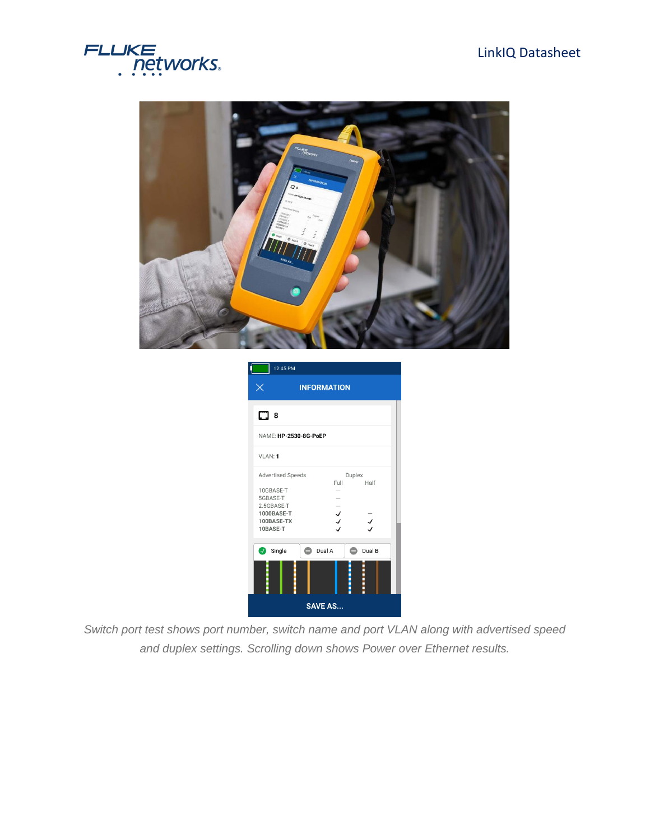#### LinkIQ Datasheet





| 12:45 PM                                                        |                    |                |
|-----------------------------------------------------------------|--------------------|----------------|
| Χ                                                               | <b>INFORMATION</b> |                |
| $\square$ 8                                                     |                    |                |
| NAME: HP-2530-8G-PoEP                                           |                    |                |
| VLAN: 1                                                         |                    |                |
| <b>Advertised Speeds</b><br>10GBASE-T<br>5GBASE-T<br>2.5GBASE-T | Full               | Duplex<br>Half |
| 1000BASE-T<br>100BASE-TX<br>10BASE-T                            | $\frac{1}{2}$      | $\overline{y}$ |
| Single                                                          | Dual A<br>◓        | Dual B         |
|                                                                 | <b>SAVE AS</b>     |                |

*Switch port test shows port number, switch name and port VLAN along with advertised speed and duplex settings. Scrolling down shows Power over Ethernet results.*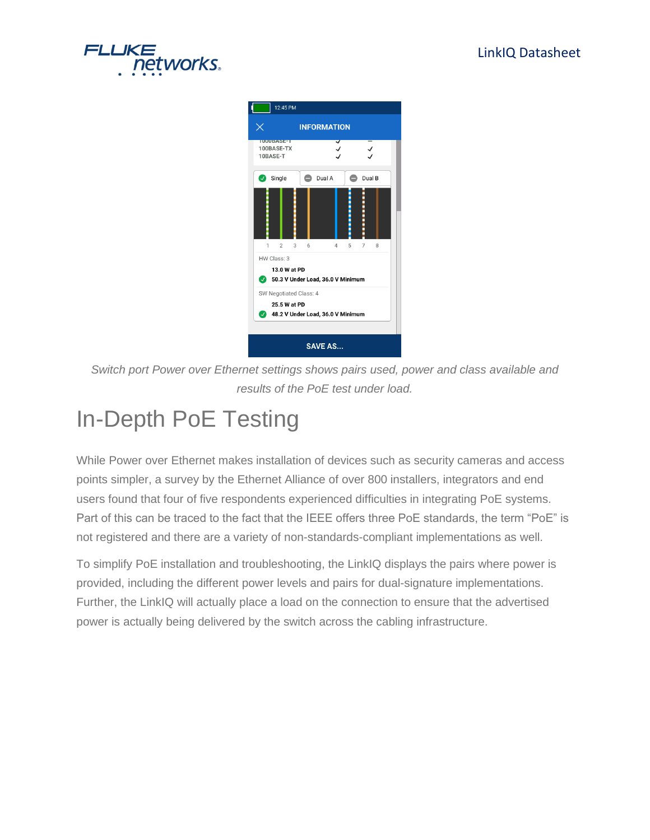



*Switch port Power over Ethernet settings shows pairs used, power and class available and results of the PoE test under load.*

## In-Depth PoE Testing

While Power over Ethernet makes installation of devices such as security cameras and access points simpler, a survey by the Ethernet Alliance of over 800 installers, integrators and end users found that four of five respondents experienced difficulties in integrating PoE systems. Part of this can be traced to the fact that the IEEE offers three PoE standards, the term "PoE" is not registered and there are a variety of non-standards-compliant implementations as well.

To simplify PoE installation and troubleshooting, the LinkIQ displays the pairs where power is provided, including the different power levels and pairs for dual-signature implementations. Further, the LinkIQ will actually place a load on the connection to ensure that the advertised power is actually being delivered by the switch across the cabling infrastructure.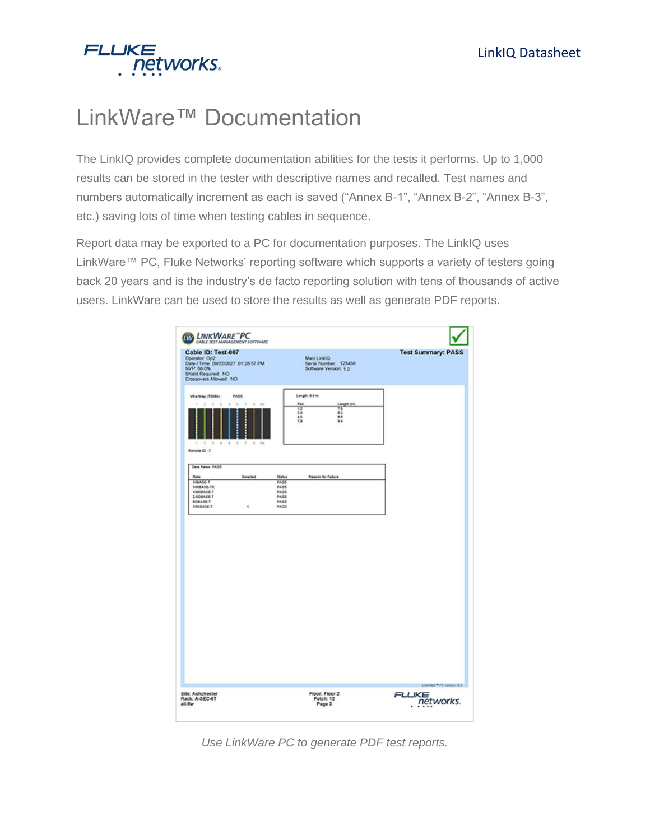

## LinkWare™ Documentation

The LinkIQ provides complete documentation abilities for the tests it performs. Up to 1,000 results can be stored in the tester with descriptive names and recalled. Test names and numbers automatically increment as each is saved ("Annex B-1", "Annex B-2", "Annex B-3", etc.) saving lots of time when testing cables in sequence.

Report data may be exported to a PC for documentation purposes. The LinkIQ uses LinkWare™ PC, Fluke Networks' reporting software which supports a variety of testers going back 20 years and is the industry's de facto reporting solution with tens of thousands of active users. LinkWare can be used to store the results as well as generate PDF reports.

| Cable ID: Test-007<br>Operator: Op2<br>Date / Time: 09/22/2027 01:28:57 PM<br>NVP. 68.0%<br>Shield Required: NO<br>Crossovers Allowed: NO |                                                                              |                                                    | Main Link/Q<br>Serial Number: 123456<br>Software Version: 1.0                            | <b>Test Summary: PASS</b> |
|-------------------------------------------------------------------------------------------------------------------------------------------|------------------------------------------------------------------------------|----------------------------------------------------|------------------------------------------------------------------------------------------|---------------------------|
| Wre Map (7566A) :<br>$\geq$<br>$\rightarrow$<br>1<br>$\pm$<br>$1 - 5$<br>$\rightarrow$<br>Renote ID: 7                                    | PASS<br>$\alpha$<br>$\mathbf{B}$<br>y<br>$\sim$<br>58<br>:::<br>8 4 5 7 8 90 |                                                    | Length: 8.6 m<br>Pair<br>Length (m)<br>ïΣ<br>Ϋ́<br>62<br>3.6<br>4.5<br>8.9<br>7.8<br>9.4 |                           |
| Deta Rates: PASS<br>Rate<br>108A5E-T                                                                                                      | Selected                                                                     | <b>Dutys</b><br>PASS                               | Reason for Failure                                                                       |                           |
| 100BASE-TX<br>10008A06-T<br>2.5GBASE-T<br>SOBASE-T<br>1008A0E-T                                                                           | Ý.                                                                           | <b>PASS</b><br>PASS<br><b>PASS</b><br>PASS<br>PASS |                                                                                          |                           |
|                                                                                                                                           |                                                                              |                                                    |                                                                                          |                           |
|                                                                                                                                           |                                                                              |                                                    |                                                                                          |                           |

*Use LinkWare PC to generate PDF test reports.*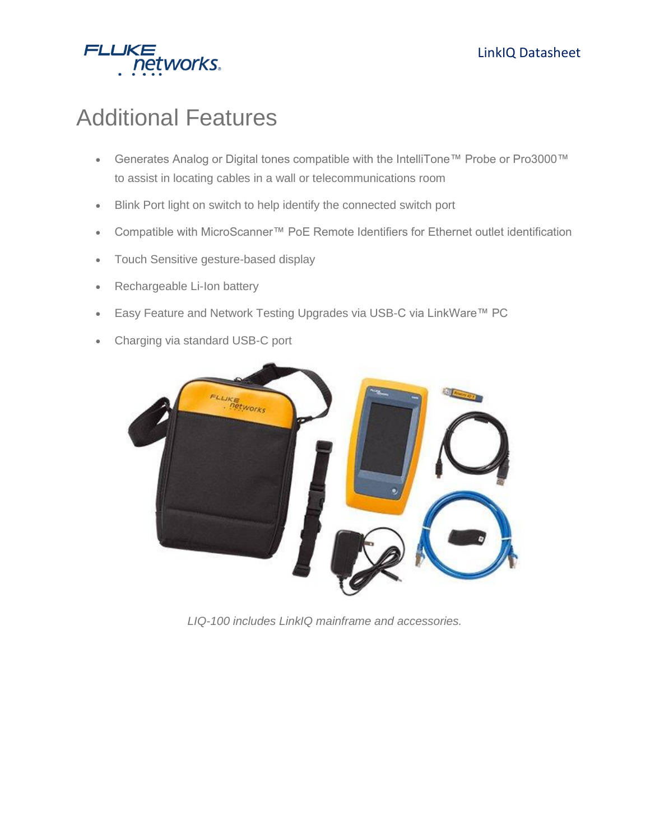

### Additional Features

- Generates Analog or Digital tones compatible with the IntelliTone™ Probe or Pro3000™ to assist in locating cables in a wall or telecommunications room
- Blink Port light on switch to help identify the connected switch port
- Compatible with MicroScanner™ PoE Remote Identifiers for Ethernet outlet identification
- Touch Sensitive gesture-based display
- Rechargeable Li-Ion battery
- Easy Feature and Network Testing Upgrades via USB-C via LinkWare™ PC
- Charging via standard USB-C port



*LIQ-100 includes LinkIQ mainframe and accessories.*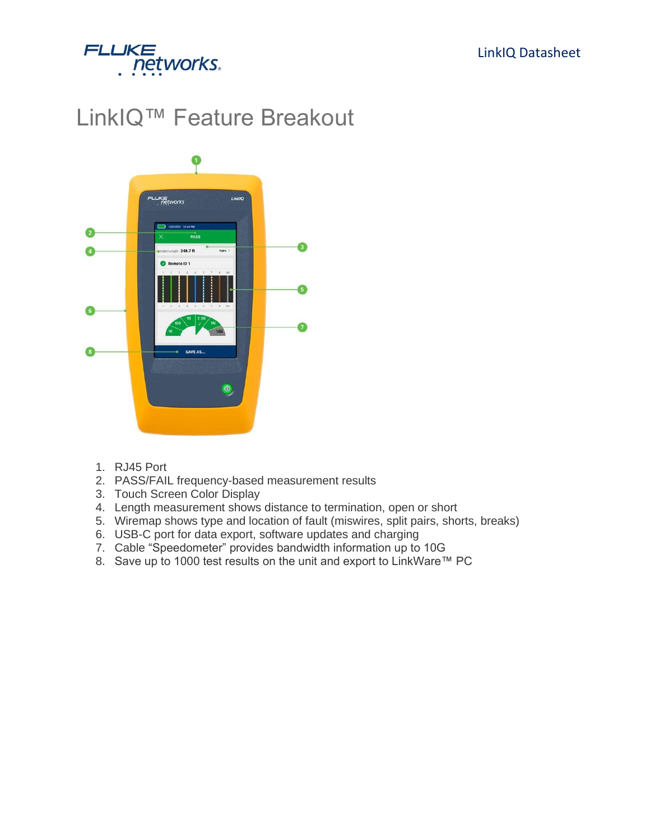

## LinkIQ™ Feature Breakout



- 1. RJ45 Port
- 2. PASS/FAIL frequency-based measurement results
- 3. Touch Screen Color Display
- 4. Length measurement shows distance to termination, open or short
- 5. Wiremap shows type and location of fault (miswires, split pairs, shorts, breaks)
- 6. USB-C port for data export, software updates and charging
- 7. Cable "Speedometer" provides bandwidth information up to 10G
- 8. Save up to 1000 test results on the unit and export to LinkWare™ PC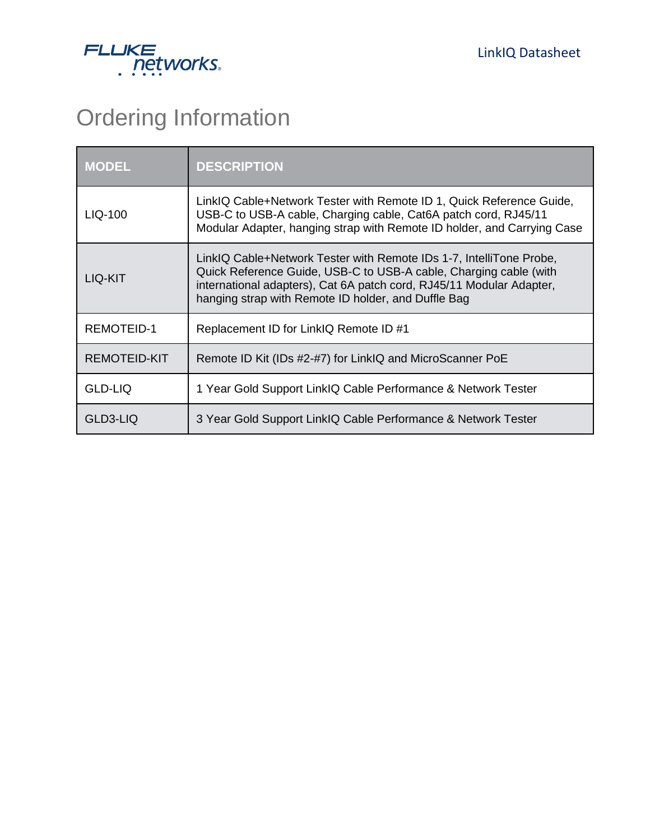

## Ordering Information

| <b>MODEL</b>      | <b>DESCRIPTION</b>                                                                                                                                                                                                                                                      |
|-------------------|-------------------------------------------------------------------------------------------------------------------------------------------------------------------------------------------------------------------------------------------------------------------------|
| LIQ-100           | LinkIQ Cable+Network Tester with Remote ID 1, Quick Reference Guide,<br>USB-C to USB-A cable, Charging cable, Cat6A patch cord, RJ45/11<br>Modular Adapter, hanging strap with Remote ID holder, and Carrying Case                                                      |
| LIQ-KIT           | LinkIQ Cable+Network Tester with Remote IDs 1-7, IntelliTone Probe,<br>Quick Reference Guide, USB-C to USB-A cable, Charging cable (with<br>international adapters), Cat 6A patch cord, RJ45/11 Modular Adapter,<br>hanging strap with Remote ID holder, and Duffle Bag |
| <b>REMOTEID-1</b> | Replacement ID for LinkIQ Remote ID #1                                                                                                                                                                                                                                  |
| REMOTEID-KIT      | Remote ID Kit (IDs #2-#7) for LinkIQ and MicroScanner PoE                                                                                                                                                                                                               |
| <b>GLD-LIQ</b>    | 1 Year Gold Support LinkIQ Cable Performance & Network Tester                                                                                                                                                                                                           |
| GLD3-LIQ          | 3 Year Gold Support LinkIQ Cable Performance & Network Tester                                                                                                                                                                                                           |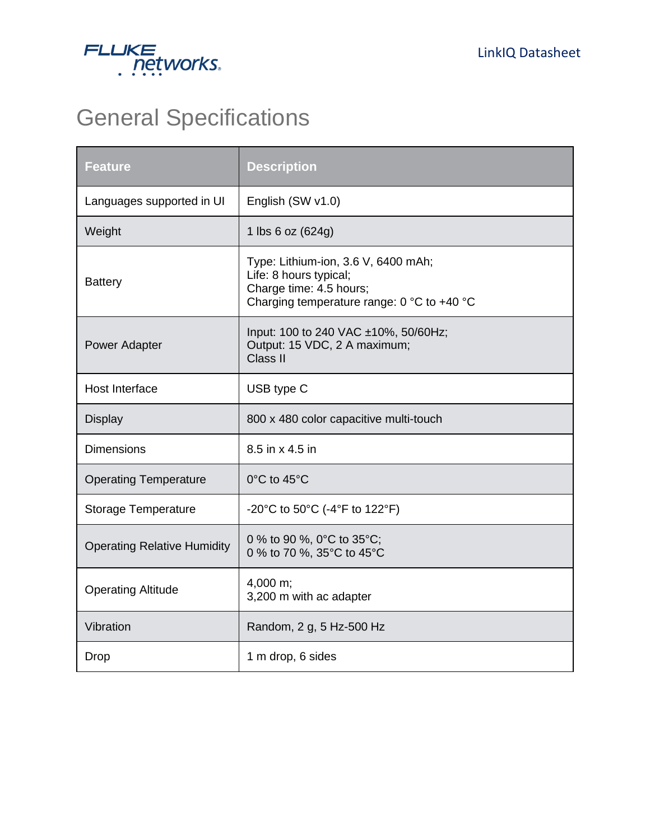

## General Specifications

| <b>Feature</b>                     | <b>Description</b>                                                                                                                     |
|------------------------------------|----------------------------------------------------------------------------------------------------------------------------------------|
| Languages supported in UI          | English (SW v1.0)                                                                                                                      |
| Weight                             | 1 lbs 6 oz (624g)                                                                                                                      |
| <b>Battery</b>                     | Type: Lithium-ion, 3.6 V, 6400 mAh;<br>Life: 8 hours typical;<br>Charge time: 4.5 hours;<br>Charging temperature range: 0 °C to +40 °C |
| Power Adapter                      | Input: 100 to 240 VAC ±10%, 50/60Hz;<br>Output: 15 VDC, 2 A maximum;<br>Class II                                                       |
| Host Interface                     | USB type C                                                                                                                             |
| <b>Display</b>                     | 800 x 480 color capacitive multi-touch                                                                                                 |
| <b>Dimensions</b>                  | 8.5 in x 4.5 in                                                                                                                        |
| <b>Operating Temperature</b>       | 0°C to 45°C                                                                                                                            |
| <b>Storage Temperature</b>         | -20°C to 50°C (-4°F to 122°F)                                                                                                          |
| <b>Operating Relative Humidity</b> | 0 % to 90 %, 0°C to 35°C;<br>0 % to 70 %, 35°C to 45°C                                                                                 |
| <b>Operating Altitude</b>          | $4,000 \text{ m}$ ;<br>3,200 m with ac adapter                                                                                         |
| Vibration                          | Random, 2 g, 5 Hz-500 Hz                                                                                                               |
| Drop                               | 1 m drop, 6 sides                                                                                                                      |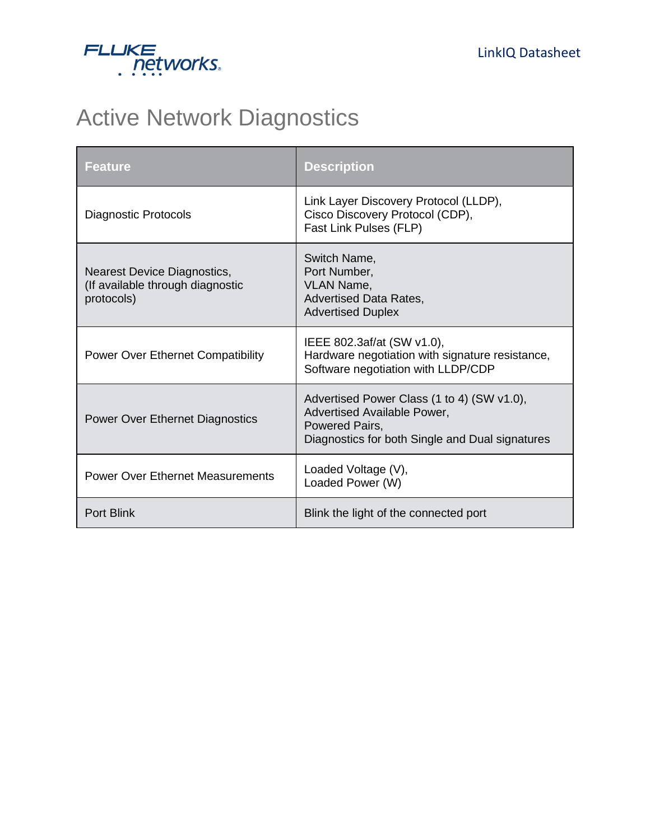

## Active Network Diagnostics

| <b>Feature</b>                                                                | <b>Description</b>                                                                                                                             |
|-------------------------------------------------------------------------------|------------------------------------------------------------------------------------------------------------------------------------------------|
| <b>Diagnostic Protocols</b>                                                   | Link Layer Discovery Protocol (LLDP),<br>Cisco Discovery Protocol (CDP),<br>Fast Link Pulses (FLP)                                             |
| Nearest Device Diagnostics,<br>(If available through diagnostic<br>protocols) | Switch Name,<br>Port Number,<br><b>VLAN Name,</b><br><b>Advertised Data Rates,</b><br><b>Advertised Duplex</b>                                 |
| <b>Power Over Ethernet Compatibility</b>                                      | IEEE 802.3af/at (SW v1.0),<br>Hardware negotiation with signature resistance,<br>Software negotiation with LLDP/CDP                            |
| <b>Power Over Ethernet Diagnostics</b>                                        | Advertised Power Class (1 to 4) (SW v1.0),<br>Advertised Available Power,<br>Powered Pairs,<br>Diagnostics for both Single and Dual signatures |
| <b>Power Over Ethernet Measurements</b>                                       | Loaded Voltage (V),<br>Loaded Power (W)                                                                                                        |
| <b>Port Blink</b>                                                             | Blink the light of the connected port                                                                                                          |